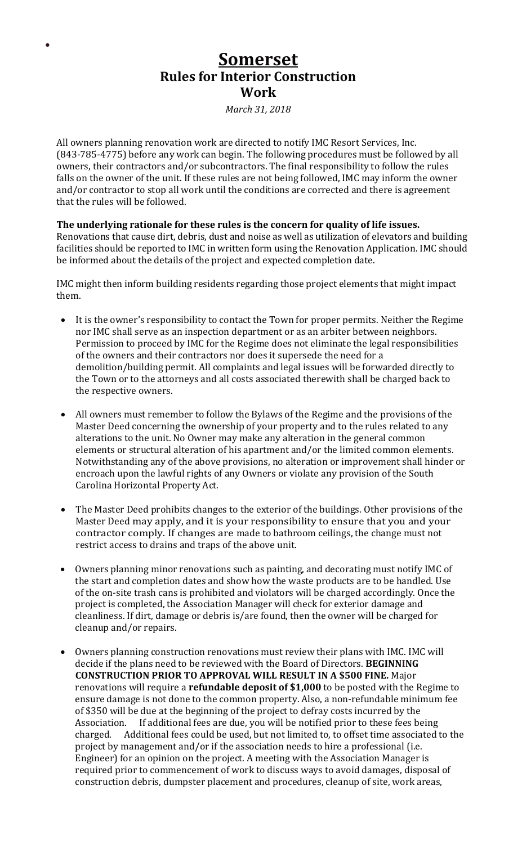## **Somerset Rules for Interior Construction Work**

 $\bullet$ 

*March 31, 2018*

All owners planning renovation work are directed to notify IMC Resort Services, Inc. (843-785-4775) before any work can begin. The following procedures must be followed by all owners, their contractors and/or subcontractors. The final responsibility to follow the rules falls on the owner of the unit. If these rules are not being followed, IMC may inform the owner and/or contractor to stop all work until the conditions are corrected and there is agreement that the rules will be followed.

## **The underlying rationale for these rules is the concern for quality of life issues.**

Renovations that cause dirt, debris, dust and noise as well as utilization of elevators and building facilities should be reported to IMC in written form using the Renovation Application. IMC should be informed about the details of the project and expected completion date.

IMC might then inform building residents regarding those project elements that might impact them.

- It is the owner's responsibility to contact the Town for proper permits. Neither the Regime nor IMC shall serve as an inspection department or as an arbiter between neighbors. Permission to proceed by IMC for the Regime does not eliminate the legal responsibilities of the owners and their contractors nor does it supersede the need for a demolition/building permit. All complaints and legal issues will be forwarded directly to the Town or to the attorneys and all costs associated therewith shall be charged back to the respective owners.
- All owners must remember to follow the Bylaws of the Regime and the provisions of the Master Deed concerning the ownership of your property and to the rules related to any alterations to the unit. No Owner may make any alteration in the general common elements or structural alteration of his apartment and/or the limited common elements. Notwithstanding any of the above provisions, no alteration or improvement shall hinder or encroach upon the lawful rights of any Owners or violate any provision of the South Carolina Horizontal Property Act.
- The Master Deed prohibits changes to the exterior of the buildings. Other provisions of the Master Deed may apply, and it is your responsibility to ensure that you and your contractor comply. If changes are made to bathroom ceilings, the change must not restrict access to drains and traps of the above unit.
- Owners planning minor renovations such as painting, and decorating must notify IMC of the start and completion dates and show how the waste products are to be handled. Use of the on-site trash cans is prohibited and violators will be charged accordingly. Once the project is completed, the Association Manager will check for exterior damage and cleanliness. If dirt, damage or debris is/are found, then the owner will be charged for cleanup and/or repairs.
- Owners planning construction renovations must review their plans with IMC. IMC will decide if the plans need to be reviewed with the Board of Directors. **BEGINNING CONSTRUCTION PRIOR TO APPROVAL WILL RESULT IN A \$500 FINE.** Major renovations will require a **refundable deposit of \$1,000** to be posted with the Regime to ensure damage is not done to the common property. Also, a non-refundable minimum fee of \$350 will be due at the beginning of the project to defray costs incurred by the Association. If additional fees are due, you will be notified prior to these fees being charged. Additional fees could be used, but not limited to, to offset time associated to the project by management and/or if the association needs to hire a professional (i.e. Engineer) for an opinion on the project. A meeting with the Association Manager is required prior to commencement of work to discuss ways to avoid damages, disposal of construction debris, dumpster placement and procedures, cleanup of site, work areas,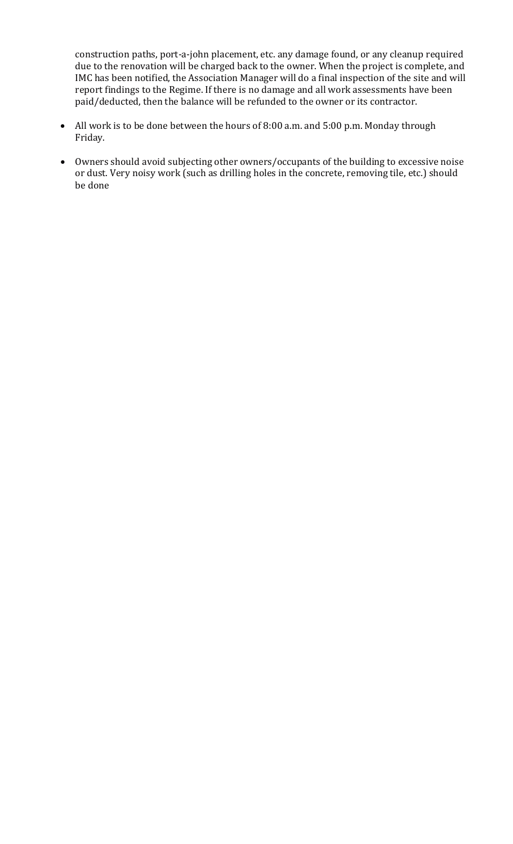construction paths, port-a-john placement, etc. any damage found, or any cleanup required due to the renovation will be charged back to the owner. When the project is complete, and IMC has been notified, the Association Manager will do a final inspection of the site and will report findings to the Regime. If there is no damage and all work assessments have been paid/deducted, then the balance will be refunded to the owner or its contractor.

- All work is to be done between the hours of 8:00 a.m. and 5:00 p.m. Monday through Friday.
- Owners should avoid subjecting other owners/occupants of the building to excessive noise or dust. Very noisy work (such as drilling holes in the concrete, removing tile, etc.) should be done